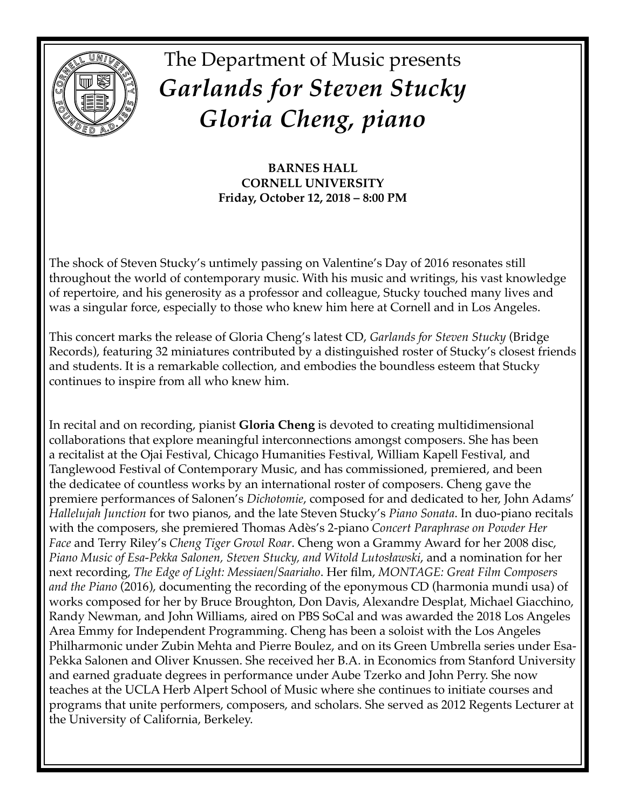

# The Department of Music presents *Garlands for Steven Stucky Gloria Cheng, piano*

**BARNES HALL CORNELL UNIVERSITY Friday, October 12, 2018 – 8:00 PM**

The shock of Steven Stucky's untimely passing on Valentine's Day of 2016 resonates still throughout the world of contemporary music. With his music and writings, his vast knowledge of repertoire, and his generosity as a professor and colleague, Stucky touched many lives and was a singular force, especially to those who knew him here at Cornell and in Los Angeles.

This concert marks the release of Gloria Cheng's latest CD, *Garlands for Steven Stucky* (Bridge Records), featuring 32 miniatures contributed by a distinguished roster of Stucky's closest friends and students. It is a remarkable collection, and embodies the boundless esteem that Stucky continues to inspire from all who knew him.

In recital and on recording, pianist **Gloria Cheng** is devoted to creating multidimensional collaborations that explore meaningful interconnections amongst composers. She has been a recitalist at the Ojai Festival, Chicago Humanities Festival, William Kapell Festival, and Tanglewood Festival of Contemporary Music, and has commissioned, premiered, and been the dedicatee of countless works by an international roster of composers. Cheng gave the premiere performances of Salonen's *Dichotomie*, composed for and dedicated to her, John Adams' *Hallelujah Junction* for two pianos, and the late Steven Stucky's *Piano Sonata*. In duo-piano recitals with the composers, she premiered Thomas Adès's 2-piano *Concert Paraphrase on Powder Her Face* and Terry Riley's *Cheng Tiger Growl Roar*. Cheng won a Grammy Award for her 2008 disc, *Piano Music of Esa-Pekka Salonen, Steven Stucky, and Witold Lutosławski*, and a nomination for her next recording, *The Edge of Light: Messiaen/Saariaho*. Her film, *MONTAGE: Great Film Composers and the Piano* (2016), documenting the recording of the eponymous CD (harmonia mundi usa) of works composed for her by Bruce Broughton, Don Davis, Alexandre Desplat, Michael Giacchino, Randy Newman, and John Williams, aired on PBS SoCal and was awarded the 2018 Los Angeles Area Emmy for Independent Programming. Cheng has been a soloist with the Los Angeles Philharmonic under Zubin Mehta and Pierre Boulez, and on its Green Umbrella series under Esa-Pekka Salonen and Oliver Knussen. She received her B.A. in Economics from Stanford University and earned graduate degrees in performance under Aube Tzerko and John Perry. She now teaches at the UCLA Herb Alpert School of Music where she continues to initiate courses and programs that unite performers, composers, and scholars. She served as 2012 Regents Lecturer at the University of California, Berkeley.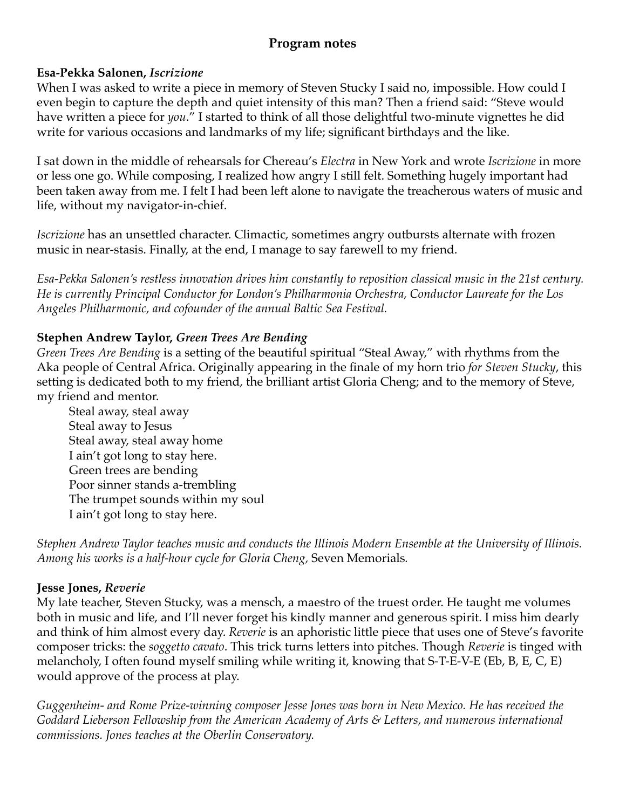## **Program notes**

#### **Esa-Pekka Salonen,** *Iscrizione*

When I was asked to write a piece in memory of Steven Stucky I said no, impossible. How could I even begin to capture the depth and quiet intensity of this man? Then a friend said: "Steve would have written a piece for *you*." I started to think of all those delightful two-minute vignettes he did write for various occasions and landmarks of my life; significant birthdays and the like.

I sat down in the middle of rehearsals for Chereau's *Electra* in New York and wrote *Iscrizione* in more or less one go. While composing, I realized how angry I still felt. Something hugely important had been taken away from me. I felt I had been left alone to navigate the treacherous waters of music and life, without my navigator-in-chief.

*Iscrizione* has an unsettled character. Climactic, sometimes angry outbursts alternate with frozen music in near-stasis. Finally, at the end, I manage to say farewell to my friend.

*Esa-Pekka Salonen's restless innovation drives him constantly to reposition classical music in the 21st century. He is currently Principal Conductor for London's Philharmonia Orchestra, Conductor Laureate for the Los Angeles Philharmonic, and cofounder of the annual Baltic Sea Festival.*

#### **Stephen Andrew Taylor,** *Green Trees Are Bending*

*Green Trees Are Bending* is a setting of the beautiful spiritual "Steal Away," with rhythms from the Aka people of Central Africa. Originally appearing in the finale of my horn trio *for Steven Stucky*, this setting is dedicated both to my friend, the brilliant artist Gloria Cheng; and to the memory of Steve, my friend and mentor.

Steal away, steal away Steal away to Jesus Steal away, steal away home I ain't got long to stay here. Green trees are bending Poor sinner stands a-trembling The trumpet sounds within my soul I ain't got long to stay here.

*Stephen Andrew Taylor teaches music and conducts the Illinois Modern Ensemble at the University of Illinois. Among his works is a half-hour cycle for Gloria Cheng,* Seven Memorials*.*

#### **Jesse Jones,** *Reverie*

My late teacher, Steven Stucky, was a mensch, a maestro of the truest order. He taught me volumes both in music and life, and I'll never forget his kindly manner and generous spirit. I miss him dearly and think of him almost every day. *Reverie* is an aphoristic little piece that uses one of Steve's favorite composer tricks: the *soggetto cavato*. This trick turns letters into pitches. Though *Reverie* is tinged with melancholy, I often found myself smiling while writing it, knowing that S-T-E-V-E (Eb, B, E, C, E) would approve of the process at play.

*Guggenheim- and Rome Prize-winning composer Jesse Jones was born in New Mexico. He has received the Goddard Lieberson Fellowship from the American Academy of Arts & Letters, and numerous international commissions. Jones teaches at the Oberlin Conservatory.*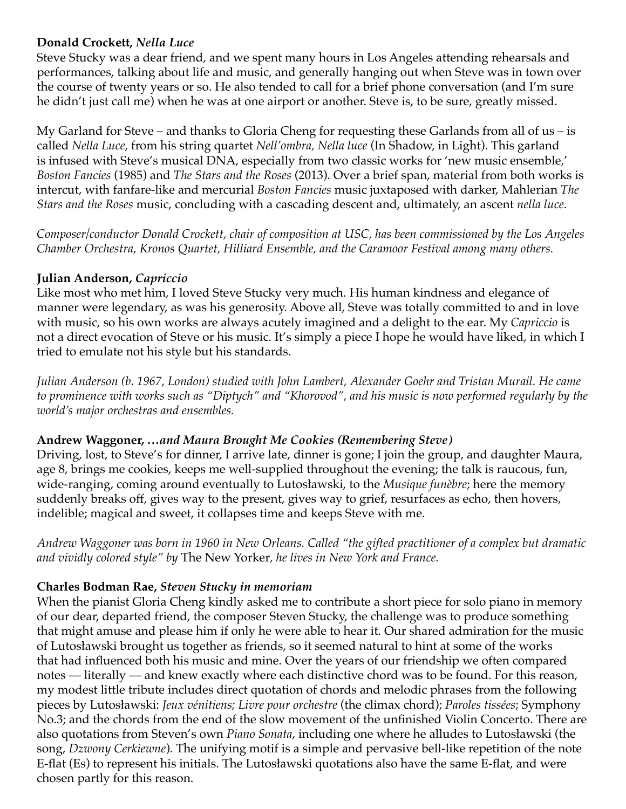#### **Donald Crockett,** *Nella Luce*

Steve Stucky was a dear friend, and we spent many hours in Los Angeles attending rehearsals and performances, talking about life and music, and generally hanging out when Steve was in town over the course of twenty years or so. He also tended to call for a brief phone conversation (and I'm sure he didn't just call me) when he was at one airport or another. Steve is, to be sure, greatly missed.

My Garland for Steve – and thanks to Gloria Cheng for requesting these Garlands from all of us – is called *Nella Luce*, from his string quartet *Nell'ombra, Nella luce* (In Shadow, in Light). This garland is infused with Steve's musical DNA, especially from two classic works for 'new music ensemble,' *Boston Fancies* (1985) and *The Stars and the Roses* (2013). Over a brief span, material from both works is intercut, with fanfare-like and mercurial *Boston Fancies* music juxtaposed with darker, Mahlerian *The Stars and the Roses* music, concluding with a cascading descent and, ultimately, an ascent *nella luce*.

*Composer/conductor Donald Crockett, chair of composition at USC, has been commissioned by the Los Angeles Chamber Orchestra, Kronos Quartet, Hilliard Ensemble, and the Caramoor Festival among many others.*

#### **Julian Anderson,** *Capriccio*

Like most who met him, I loved Steve Stucky very much. His human kindness and elegance of manner were legendary, as was his generosity. Above all, Steve was totally committed to and in love with music, so his own works are always acutely imagined and a delight to the ear. My *Capriccio* is not a direct evocation of Steve or his music. It's simply a piece I hope he would have liked, in which I tried to emulate not his style but his standards.

*Julian Anderson (b. 1967, London) studied with John Lambert, Alexander Goehr and Tristan Murail. He came to prominence with works such as "Diptych" and "Khorovod", and his music is now performed regularly by the world's major orchestras and ensembles.*

#### **Andrew Waggoner,** *…and Maura Brought Me Cookies (Remembering Steve)*

Driving, lost, to Steve's for dinner, I arrive late, dinner is gone; I join the group, and daughter Maura, age 8, brings me cookies, keeps me well-supplied throughout the evening; the talk is raucous, fun, wide-ranging, coming around eventually to Lutosławski, to the *Musique funèbre*; here the memory suddenly breaks off, gives way to the present, gives way to grief, resurfaces as echo, then hovers, indelible; magical and sweet, it collapses time and keeps Steve with me.

*Andrew Waggoner was born in 1960 in New Orleans. Called "the gifted practitioner of a complex but dramatic and vividly colored style" by* The New Yorker*, he lives in New York and France.*

#### **Charles Bodman Rae,** *Steven Stucky in memoriam*

When the pianist Gloria Cheng kindly asked me to contribute a short piece for solo piano in memory of our dear, departed friend, the composer Steven Stucky, the challenge was to produce something that might amuse and please him if only he were able to hear it. Our shared admiration for the music of Lutosławski brought us together as friends, so it seemed natural to hint at some of the works that had influenced both his music and mine. Over the years of our friendship we often compared notes — literally — and knew exactly where each distinctive chord was to be found. For this reason, my modest little tribute includes direct quotation of chords and melodic phrases from the following pieces by Lutosławski: *Jeux vénitiens; Livre pour orchestre* (the climax chord); *Paroles tissées*; Symphony No.3; and the chords from the end of the slow movement of the unfinished Violin Concerto. There are also quotations from Steven's own *Piano Sonata*, including one where he alludes to Lutosławski (the song, *Dzwony Cerkiewne*). The unifying motif is a simple and pervasive bell-like repetition of the note E-flat (Es) to represent his initials. The Lutosławski quotations also have the same E-flat, and were chosen partly for this reason.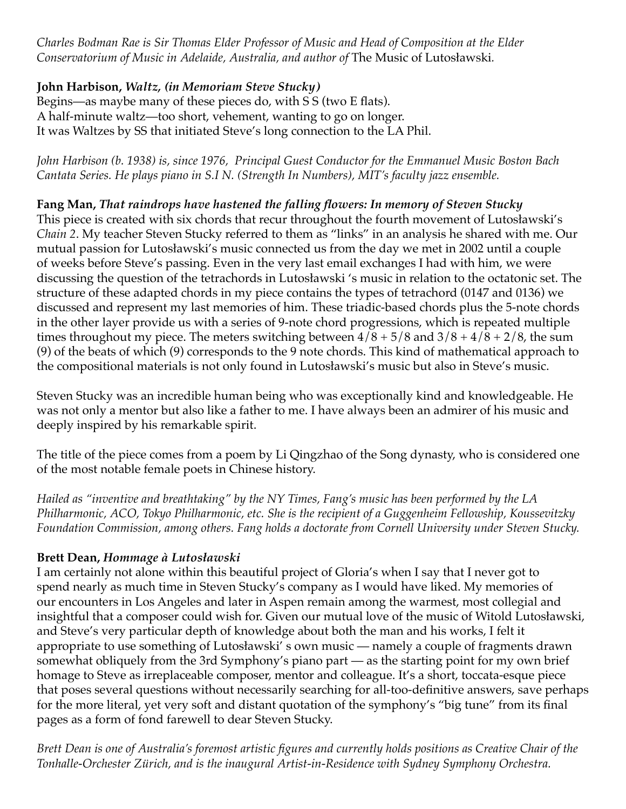*Charles Bodman Rae is Sir Thomas Elder Professor of Music and Head of Composition at the Elder Conservatorium of Music in Adelaide, Australia, and author of* The Music of Lutosławski*.*

## **John Harbison,** *Waltz, (in Memoriam Steve Stucky)*

Begins—as maybe many of these pieces do, with S S (two E flats). A half-minute waltz—too short, vehement, wanting to go on longer. It was Waltzes by SS that initiated Steve's long connection to the LA Phil.

*John Harbison (b. 1938) is, since 1976, Principal Guest Conductor for the Emmanuel Music Boston Bach Cantata Series. He plays piano in S.I N. (Strength In Numbers), MIT's faculty jazz ensemble.*

**Fang Man,** *That raindrops have hastened the falling flowers: In memory of Steven Stucky* This piece is created with six chords that recur throughout the fourth movement of Lutosławski's *Chain 2*. My teacher Steven Stucky referred to them as "links" in an analysis he shared with me. Our mutual passion for Lutosławski's music connected us from the day we met in 2002 until a couple of weeks before Steve's passing. Even in the very last email exchanges I had with him, we were discussing the question of the tetrachords in Lutosławski 's music in relation to the octatonic set. The structure of these adapted chords in my piece contains the types of tetrachord (0147 and 0136) we discussed and represent my last memories of him. These triadic-based chords plus the 5-note chords in the other layer provide us with a series of 9-note chord progressions, which is repeated multiple times throughout my piece. The meters switching between  $4/8 + 5/8$  and  $3/8 + 4/8 + 2/8$ , the sum (9) of the beats of which (9) corresponds to the 9 note chords. This kind of mathematical approach to the compositional materials is not only found in Lutosławski's music but also in Steve's music.

Steven Stucky was an incredible human being who was exceptionally kind and knowledgeable. He was not only a mentor but also like a father to me. I have always been an admirer of his music and deeply inspired by his remarkable spirit.

The title of the piece comes from a poem by Li Qingzhao of the Song dynasty, who is considered one of the most notable female poets in Chinese history.

*Hailed as "inventive and breathtaking" by the NY Times, Fang's music has been performed by the LA Philharmonic, ACO, Tokyo Philharmonic, etc. She is the recipient of a Guggenheim Fellowship, Koussevitzky Foundation Commission, among others. Fang holds a doctorate from Cornell University under Steven Stucky.*

## **Brett Dean,** *Hommage à Lutosławski*

I am certainly not alone within this beautiful project of Gloria's when I say that I never got to spend nearly as much time in Steven Stucky's company as I would have liked. My memories of our encounters in Los Angeles and later in Aspen remain among the warmest, most collegial and insightful that a composer could wish for. Given our mutual love of the music of Witold Lutosławski, and Steve's very particular depth of knowledge about both the man and his works, I felt it appropriate to use something of Lutosławski' s own music — namely a couple of fragments drawn somewhat obliquely from the 3rd Symphony's piano part — as the starting point for my own brief homage to Steve as irreplaceable composer, mentor and colleague. It's a short, toccata-esque piece that poses several questions without necessarily searching for all-too-definitive answers, save perhaps for the more literal, yet very soft and distant quotation of the symphony's "big tune" from its final pages as a form of fond farewell to dear Steven Stucky.

*Brett Dean is one of Australia's foremost artistic figures and currently holds positions as Creative Chair of the Tonhalle-Orchester Zürich, and is the inaugural Artist-in-Residence with Sydney Symphony Orchestra.*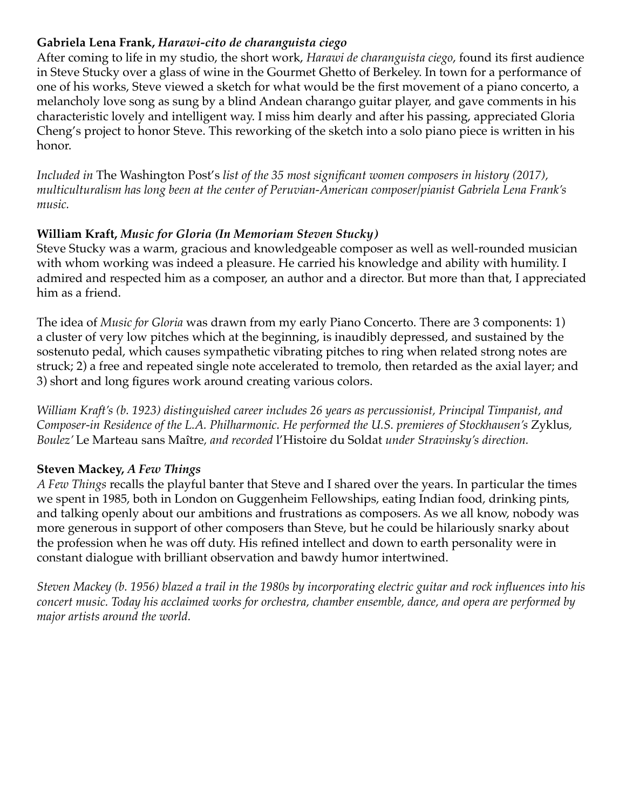### **Gabriela Lena Frank,** *Harawi-cito de charanguista ciego*

After coming to life in my studio, the short work, *Harawi de charanguista ciego*, found its first audience in Steve Stucky over a glass of wine in the Gourmet Ghetto of Berkeley. In town for a performance of one of his works, Steve viewed a sketch for what would be the first movement of a piano concerto, a melancholy love song as sung by a blind Andean charango guitar player, and gave comments in his characteristic lovely and intelligent way. I miss him dearly and after his passing, appreciated Gloria Cheng's project to honor Steve. This reworking of the sketch into a solo piano piece is written in his honor.

*Included in* The Washington Post's *list of the 35 most significant women composers in history (2017), multiculturalism has long been at the center of Peruvian-American composer/pianist Gabriela Lena Frank's music.*

## **William Kraft,** *Music for Gloria (In Memoriam Steven Stucky)*

Steve Stucky was a warm, gracious and knowledgeable composer as well as well-rounded musician with whom working was indeed a pleasure. He carried his knowledge and ability with humility. I admired and respected him as a composer, an author and a director. But more than that, I appreciated him as a friend.

The idea of *Music for Gloria* was drawn from my early Piano Concerto. There are 3 components: 1) a cluster of very low pitches which at the beginning, is inaudibly depressed, and sustained by the sostenuto pedal, which causes sympathetic vibrating pitches to ring when related strong notes are struck; 2) a free and repeated single note accelerated to tremolo, then retarded as the axial layer; and 3) short and long figures work around creating various colors.

*William Kraft's (b. 1923) distinguished career includes 26 years as percussionist, Principal Timpanist, and Composer-in Residence of the L.A. Philharmonic. He performed the U.S. premieres of Stockhausen's Zyklus, Boulez'* Le Marteau sans Maître*, and recorded* l'Histoire du Soldat *under Stravinsky's direction.*

## **Steven Mackey,** *A Few Things*

*A Few Things* recalls the playful banter that Steve and I shared over the years. In particular the times we spent in 1985, both in London on Guggenheim Fellowships, eating Indian food, drinking pints, and talking openly about our ambitions and frustrations as composers. As we all know, nobody was more generous in support of other composers than Steve, but he could be hilariously snarky about the profession when he was off duty. His refined intellect and down to earth personality were in constant dialogue with brilliant observation and bawdy humor intertwined.

*Steven Mackey (b. 1956) blazed a trail in the 1980s by incorporating electric guitar and rock influences into his concert music. Today his acclaimed works for orchestra, chamber ensemble, dance, and opera are performed by major artists around the world.*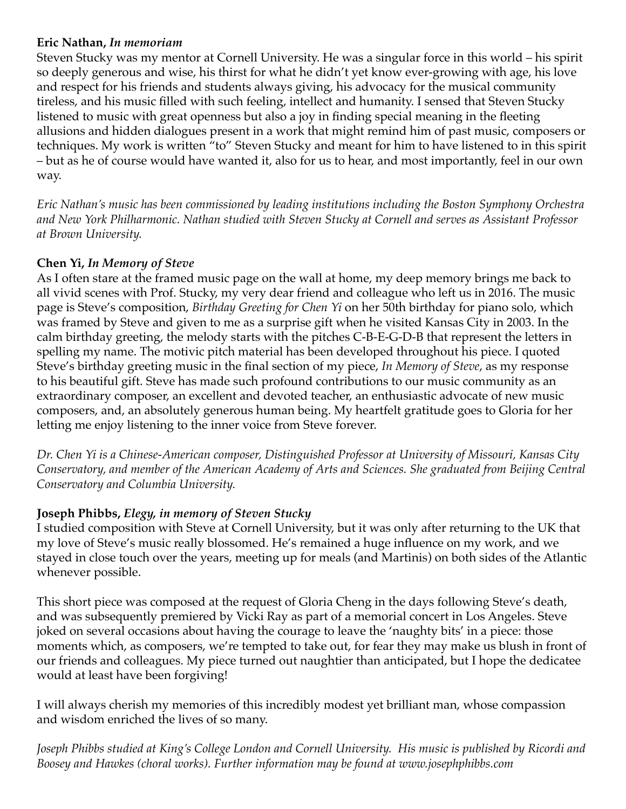#### **Eric Nathan,** *In memoriam*

Steven Stucky was my mentor at Cornell University. He was a singular force in this world – his spirit so deeply generous and wise, his thirst for what he didn't yet know ever-growing with age, his love and respect for his friends and students always giving, his advocacy for the musical community tireless, and his music filled with such feeling, intellect and humanity. I sensed that Steven Stucky listened to music with great openness but also a joy in finding special meaning in the fleeting allusions and hidden dialogues present in a work that might remind him of past music, composers or techniques. My work is written "to" Steven Stucky and meant for him to have listened to in this spirit – but as he of course would have wanted it, also for us to hear, and most importantly, feel in our own way.

*Eric Nathan's music has been commissioned by leading institutions including the Boston Symphony Orchestra and New York Philharmonic. Nathan studied with Steven Stucky at Cornell and serves as Assistant Professor at Brown University.*

## **Chen Yi,** *In Memory of Steve*

As I often stare at the framed music page on the wall at home, my deep memory brings me back to all vivid scenes with Prof. Stucky, my very dear friend and colleague who left us in 2016. The music page is Steve's composition, *Birthday Greeting for Chen Yi* on her 50th birthday for piano solo, which was framed by Steve and given to me as a surprise gift when he visited Kansas City in 2003. In the calm birthday greeting, the melody starts with the pitches C-B-E-G-D-B that represent the letters in spelling my name. The motivic pitch material has been developed throughout his piece. I quoted Steve's birthday greeting music in the final section of my piece, *In Memory of Steve*, as my response to his beautiful gift. Steve has made such profound contributions to our music community as an extraordinary composer, an excellent and devoted teacher, an enthusiastic advocate of new music composers, and, an absolutely generous human being. My heartfelt gratitude goes to Gloria for her letting me enjoy listening to the inner voice from Steve forever.

*Dr. Chen Yi is a Chinese-American composer, Distinguished Professor at University of Missouri, Kansas City Conservatory, and member of the American Academy of Arts and Sciences. She graduated from Beijing Central Conservatory and Columbia University.*

#### **Joseph Phibbs,** *Elegy, in memory of Steven Stucky*

I studied composition with Steve at Cornell University, but it was only after returning to the UK that my love of Steve's music really blossomed. He's remained a huge influence on my work, and we stayed in close touch over the years, meeting up for meals (and Martinis) on both sides of the Atlantic whenever possible.

This short piece was composed at the request of Gloria Cheng in the days following Steve's death, and was subsequently premiered by Vicki Ray as part of a memorial concert in Los Angeles. Steve joked on several occasions about having the courage to leave the 'naughty bits' in a piece: those moments which, as composers, we're tempted to take out, for fear they may make us blush in front of our friends and colleagues. My piece turned out naughtier than anticipated, but I hope the dedicatee would at least have been forgiving!

I will always cherish my memories of this incredibly modest yet brilliant man, whose compassion and wisdom enriched the lives of so many.

*Joseph Phibbs studied at King's College London and Cornell University. His music is published by Ricordi and Boosey and Hawkes (choral works). Further information may be found at www.josephphibbs.com*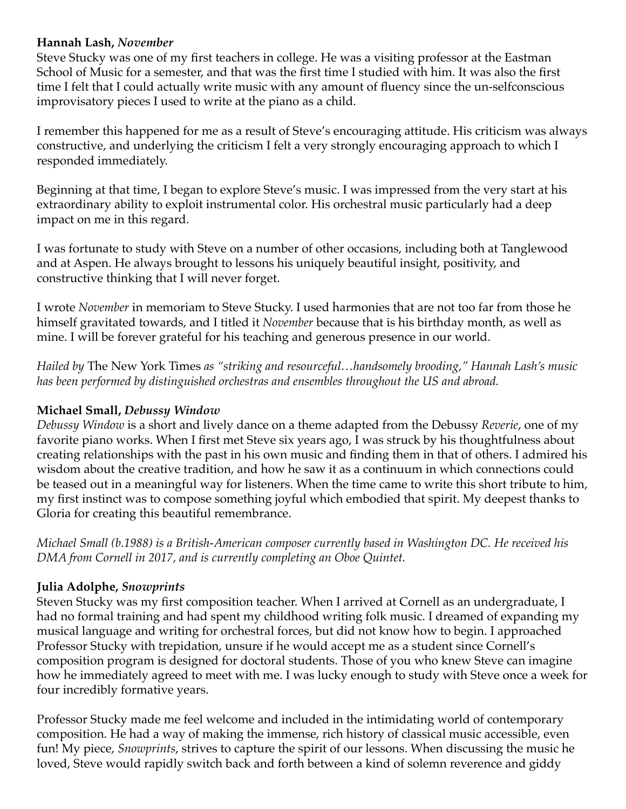#### **Hannah Lash,** *November*

Steve Stucky was one of my first teachers in college. He was a visiting professor at the Eastman School of Music for a semester, and that was the first time I studied with him. It was also the first time I felt that I could actually write music with any amount of fluency since the un-selfconscious improvisatory pieces I used to write at the piano as a child.

I remember this happened for me as a result of Steve's encouraging attitude. His criticism was always constructive, and underlying the criticism I felt a very strongly encouraging approach to which I responded immediately.

Beginning at that time, I began to explore Steve's music. I was impressed from the very start at his extraordinary ability to exploit instrumental color. His orchestral music particularly had a deep impact on me in this regard.

I was fortunate to study with Steve on a number of other occasions, including both at Tanglewood and at Aspen. He always brought to lessons his uniquely beautiful insight, positivity, and constructive thinking that I will never forget.

I wrote *November* in memoriam to Steve Stucky. I used harmonies that are not too far from those he himself gravitated towards, and I titled it *November* because that is his birthday month, as well as mine. I will be forever grateful for his teaching and generous presence in our world.

*Hailed by* The New York Times *as "striking and resourceful…handsomely brooding," Hannah Lash's music has been performed by distinguished orchestras and ensembles throughout the US and abroad.*

## **Michael Small,** *Debussy Window*

*Debussy Window* is a short and lively dance on a theme adapted from the Debussy *Reverie*, one of my favorite piano works. When I first met Steve six years ago, I was struck by his thoughtfulness about creating relationships with the past in his own music and finding them in that of others. I admired his wisdom about the creative tradition, and how he saw it as a continuum in which connections could be teased out in a meaningful way for listeners. When the time came to write this short tribute to him, my first instinct was to compose something joyful which embodied that spirit. My deepest thanks to Gloria for creating this beautiful remembrance.

*Michael Small (b.1988) is a British-American composer currently based in Washington DC. He received his DMA from Cornell in 2017, and is currently completing an Oboe Quintet.*

#### **Julia Adolphe,** *Snowprints*

Steven Stucky was my first composition teacher. When I arrived at Cornell as an undergraduate, I had no formal training and had spent my childhood writing folk music. I dreamed of expanding my musical language and writing for orchestral forces, but did not know how to begin. I approached Professor Stucky with trepidation, unsure if he would accept me as a student since Cornell's composition program is designed for doctoral students. Those of you who knew Steve can imagine how he immediately agreed to meet with me. I was lucky enough to study with Steve once a week for four incredibly formative years.

Professor Stucky made me feel welcome and included in the intimidating world of contemporary composition. He had a way of making the immense, rich history of classical music accessible, even fun! My piece, *Snowprints*, strives to capture the spirit of our lessons. When discussing the music he loved, Steve would rapidly switch back and forth between a kind of solemn reverence and giddy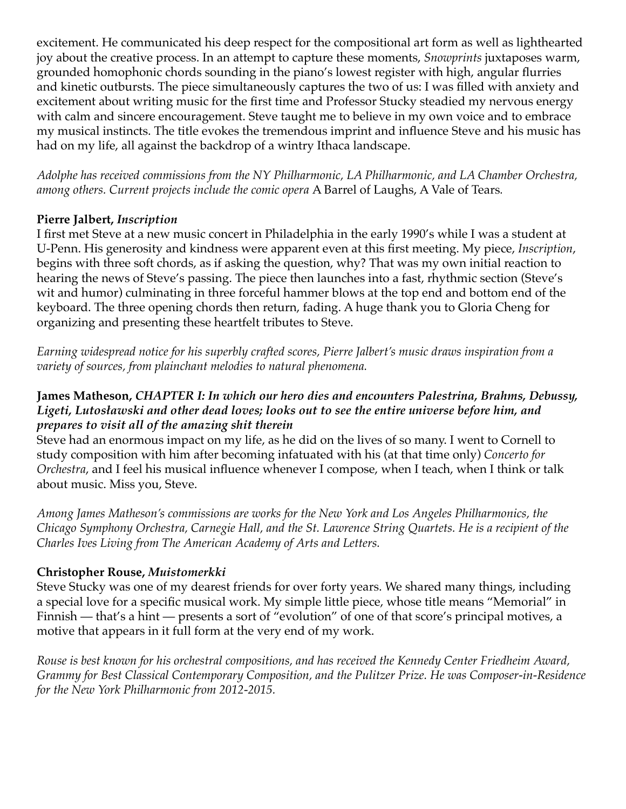excitement. He communicated his deep respect for the compositional art form as well as lighthearted joy about the creative process. In an attempt to capture these moments, *Snowprints* juxtaposes warm, grounded homophonic chords sounding in the piano's lowest register with high, angular flurries and kinetic outbursts. The piece simultaneously captures the two of us: I was filled with anxiety and excitement about writing music for the first time and Professor Stucky steadied my nervous energy with calm and sincere encouragement. Steve taught me to believe in my own voice and to embrace my musical instincts. The title evokes the tremendous imprint and influence Steve and his music has had on my life, all against the backdrop of a wintry Ithaca landscape.

*Adolphe has received commissions from the NY Philharmonic, LA Philharmonic, and LA Chamber Orchestra, among others. Current projects include the comic opera* A Barrel of Laughs, A Vale of Tears*.*

#### **Pierre Jalbert,** *Inscription*

I first met Steve at a new music concert in Philadelphia in the early 1990's while I was a student at U-Penn. His generosity and kindness were apparent even at this first meeting. My piece, *Inscription*, begins with three soft chords, as if asking the question, why? That was my own initial reaction to hearing the news of Steve's passing. The piece then launches into a fast, rhythmic section (Steve's wit and humor) culminating in three forceful hammer blows at the top end and bottom end of the keyboard. The three opening chords then return, fading. A huge thank you to Gloria Cheng for organizing and presenting these heartfelt tributes to Steve.

*Earning widespread notice for his superbly crafted scores, Pierre Jalbert's music draws inspiration from a variety of sources, from plainchant melodies to natural phenomena.* 

#### **James Matheson,** *CHAPTER I: In which our hero dies and encounters Palestrina, Brahms, Debussy, Ligeti, Lutosławski and other dead loves; looks out to see the entire universe before him, and prepares to visit all of the amazing shit therein*

Steve had an enormous impact on my life, as he did on the lives of so many. I went to Cornell to study composition with him after becoming infatuated with his (at that time only) *Concerto for Orchestra*, and I feel his musical influence whenever I compose, when I teach, when I think or talk about music. Miss you, Steve.

*Among James Matheson's commissions are works for the New York and Los Angeles Philharmonics, the Chicago Symphony Orchestra, Carnegie Hall, and the St. Lawrence String Quartets. He is a recipient of the Charles Ives Living from The American Academy of Arts and Letters.* 

## **Christopher Rouse,** *Muistomerkki*

Steve Stucky was one of my dearest friends for over forty years. We shared many things, including a special love for a specific musical work. My simple little piece, whose title means "Memorial" in Finnish — that's a hint — presents a sort of "evolution" of one of that score's principal motives, a motive that appears in it full form at the very end of my work.

*Rouse is best known for his orchestral compositions, and has received the Kennedy Center Friedheim Award, Grammy for Best Classical Contemporary Composition, and the Pulitzer Prize. He was Composer-in-Residence for the New York Philharmonic from 2012-2015.*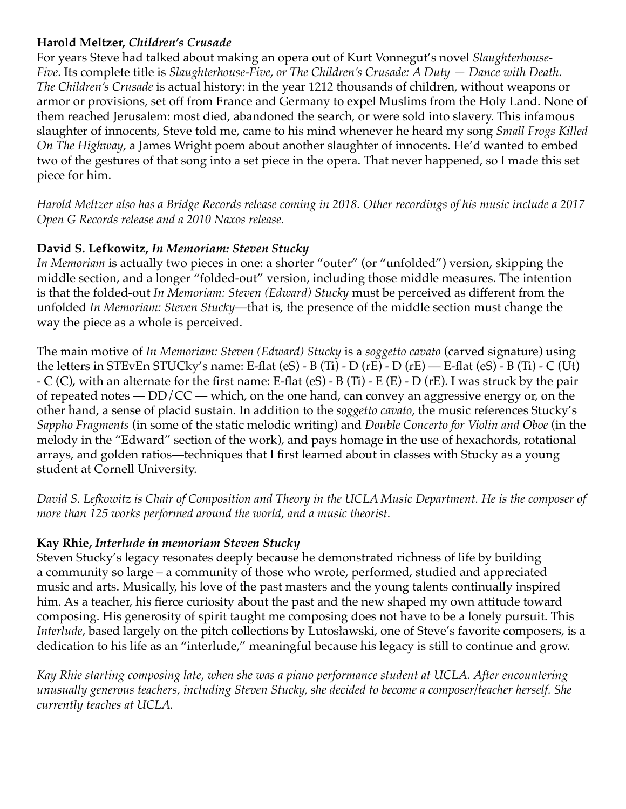### **Harold Meltzer,** *Children's Crusade*

For years Steve had talked about making an opera out of Kurt Vonnegut's novel *Slaughterhouse-Five*. Its complete title is *Slaughterhouse-Five, or The Children's Crusade: A Duty — Dance with Death*. *The Children's Crusade* is actual history: in the year 1212 thousands of children, without weapons or armor or provisions, set off from France and Germany to expel Muslims from the Holy Land. None of them reached Jerusalem: most died, abandoned the search, or were sold into slavery. This infamous slaughter of innocents, Steve told me, came to his mind whenever he heard my song *Small Frogs Killed On The Highway*, a James Wright poem about another slaughter of innocents. He'd wanted to embed two of the gestures of that song into a set piece in the opera. That never happened, so I made this set piece for him.

*Harold Meltzer also has a Bridge Records release coming in 2018. Other recordings of his music include a 2017 Open G Records release and a 2010 Naxos release.*

## **David S. Lefkowitz,** *In Memoriam: Steven Stucky*

*In Memoriam* is actually two pieces in one: a shorter "outer" (or "unfolded") version, skipping the middle section, and a longer "folded-out" version, including those middle measures. The intention is that the folded-out *In Memoriam: Steven (Edward) Stucky* must be perceived as different from the unfolded *In Memoriam: Steven Stucky*—that is, the presence of the middle section must change the way the piece as a whole is perceived.

The main motive of *In Memoriam: Steven (Edward) Stucky* is a *soggetto cavato* (carved signature) using the letters in STEvEn STUCky's name: E-flat (eS) - B (Ti) - D (rE) - D (rE) — E-flat (eS) - B (Ti) - C (Ut) - C (C), with an alternate for the first name: E-flat (eS) - B (Ti) - E (E) - D (rE). I was struck by the pair of repeated notes —  $DD/CC$  — which, on the one hand, can convey an aggressive energy or, on the other hand, a sense of placid sustain. In addition to the *soggetto cavato*, the music references Stucky's *Sappho Fragments* (in some of the static melodic writing) and *Double Concerto for Violin and Oboe* (in the melody in the "Edward" section of the work), and pays homage in the use of hexachords, rotational arrays, and golden ratios—techniques that I first learned about in classes with Stucky as a young student at Cornell University.

*David S. Lefkowitz is Chair of Composition and Theory in the UCLA Music Department. He is the composer of more than 125 works performed around the world, and a music theorist.*

## **Kay Rhie,** *Interlude in memoriam Steven Stucky*

Steven Stucky's legacy resonates deeply because he demonstrated richness of life by building a community so large – a community of those who wrote, performed, studied and appreciated music and arts. Musically, his love of the past masters and the young talents continually inspired him. As a teacher, his fierce curiosity about the past and the new shaped my own attitude toward composing. His generosity of spirit taught me composing does not have to be a lonely pursuit. This *Interlude*, based largely on the pitch collections by Lutosławski, one of Steve's favorite composers, is a dedication to his life as an "interlude," meaningful because his legacy is still to continue and grow.

*Kay Rhie starting composing late, when she was a piano performance student at UCLA. After encountering unusually generous teachers, including Steven Stucky, she decided to become a composer/teacher herself. She currently teaches at UCLA.*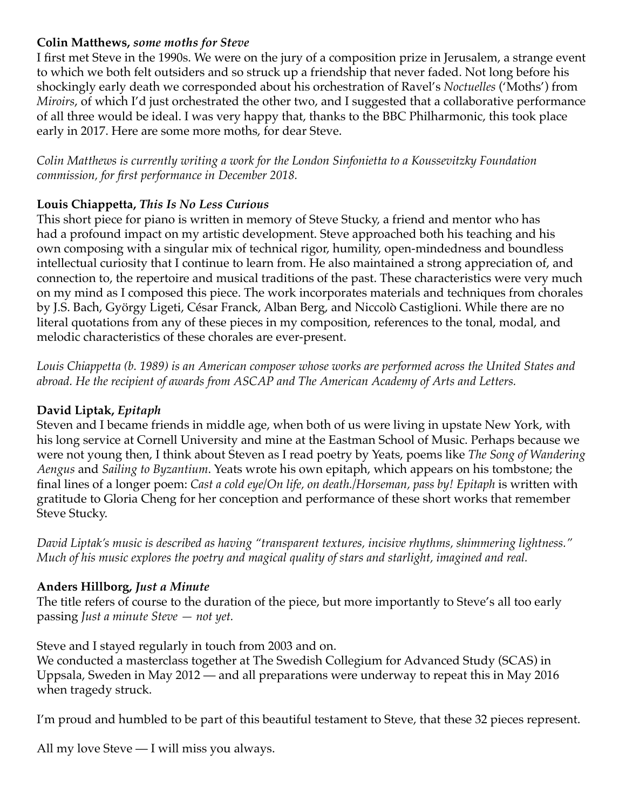#### **Colin Matthews,** *some moths for Steve*

I first met Steve in the 1990s. We were on the jury of a composition prize in Jerusalem, a strange event to which we both felt outsiders and so struck up a friendship that never faded. Not long before his shockingly early death we corresponded about his orchestration of Ravel's *Noctuelles* ('Moths') from *Miroirs*, of which I'd just orchestrated the other two, and I suggested that a collaborative performance of all three would be ideal. I was very happy that, thanks to the BBC Philharmonic, this took place early in 2017. Here are some more moths, for dear Steve.

*Colin Matthews is currently writing a work for the London Sinfonietta to a Koussevitzky Foundation commission, for first performance in December 2018.*

## **Louis Chiappetta,** *This Is No Less Curious*

This short piece for piano is written in memory of Steve Stucky, a friend and mentor who has had a profound impact on my artistic development. Steve approached both his teaching and his own composing with a singular mix of technical rigor, humility, open-mindedness and boundless intellectual curiosity that I continue to learn from. He also maintained a strong appreciation of, and connection to, the repertoire and musical traditions of the past. These characteristics were very much on my mind as I composed this piece. The work incorporates materials and techniques from chorales by J.S. Bach, György Ligeti, César Franck, Alban Berg, and Niccolò Castiglioni. While there are no literal quotations from any of these pieces in my composition, references to the tonal, modal, and melodic characteristics of these chorales are ever-present.

*Louis Chiappetta (b. 1989) is an American composer whose works are performed across the United States and abroad. He the recipient of awards from ASCAP and The American Academy of Arts and Letters.* 

## **David Liptak,** *Epitaph*

Steven and I became friends in middle age, when both of us were living in upstate New York, with his long service at Cornell University and mine at the Eastman School of Music. Perhaps because we were not young then, I think about Steven as I read poetry by Yeats, poems like *The Song of Wandering Aengus* and *Sailing to Byzantium*. Yeats wrote his own epitaph, which appears on his tombstone; the final lines of a longer poem: *Cast a cold eye/On life, on death.*/Horseman, pass by! Epitaph is written with gratitude to Gloria Cheng for her conception and performance of these short works that remember Steve Stucky.

*David Liptak's music is described as having "transparent textures, incisive rhythms, shimmering lightness." Much of his music explores the poetry and magical quality of stars and starlight, imagined and real.*

## **Anders Hillborg,** *Just a Minute*

The title refers of course to the duration of the piece, but more importantly to Steve's all too early passing *Just a minute Steve — not yet.*

Steve and I stayed regularly in touch from 2003 and on.

We conducted a masterclass together at The Swedish Collegium for Advanced Study (SCAS) in Uppsala, Sweden in May 2012 — and all preparations were underway to repeat this in May 2016 when tragedy struck.

I'm proud and humbled to be part of this beautiful testament to Steve, that these 32 pieces represent.

All my love Steve — I will miss you always.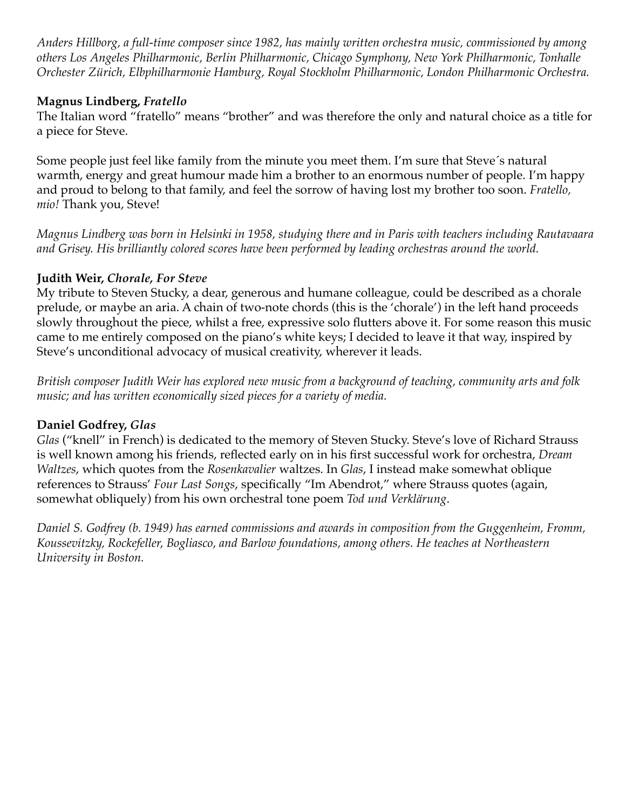*Anders Hillborg, a full-time composer since 1982, has mainly written orchestra music, commissioned by among others Los Angeles Philharmonic, Berlin Philharmonic, Chicago Symphony, New York Philharmonic, Tonhalle Orchester Zürich, Elbphilharmonie Hamburg, Royal Stockholm Philharmonic, London Philharmonic Orchestra.*

### **Magnus Lindberg,** *Fratello*

The Italian word "fratello" means "brother" and was therefore the only and natural choice as a title for a piece for Steve.

Some people just feel like family from the minute you meet them. I'm sure that Steve´s natural warmth, energy and great humour made him a brother to an enormous number of people. I'm happy and proud to belong to that family, and feel the sorrow of having lost my brother too soon. *Fratello, mio!* Thank you, Steve!

*Magnus Lindberg was born in Helsinki in 1958, studying there and in Paris with teachers including Rautavaara and Grisey. His brilliantly colored scores have been performed by leading orchestras around the world.*

## **Judith Weir,** *Chorale, For Steve*

My tribute to Steven Stucky, a dear, generous and humane colleague, could be described as a chorale prelude, or maybe an aria. A chain of two-note chords (this is the 'chorale') in the left hand proceeds slowly throughout the piece, whilst a free, expressive solo flutters above it. For some reason this music came to me entirely composed on the piano's white keys; I decided to leave it that way, inspired by Steve's unconditional advocacy of musical creativity, wherever it leads.

*British composer Judith Weir has explored new music from a background of teaching, community arts and folk music; and has written economically sized pieces for a variety of media.*

## **Daniel Godfrey,** *Glas*

*Glas* ("knell" in French) is dedicated to the memory of Steven Stucky. Steve's love of Richard Strauss is well known among his friends, reflected early on in his first successful work for orchestra, *Dream Waltzes*, which quotes from the *Rosenkavalier* waltzes. In *Glas*, I instead make somewhat oblique references to Strauss' *Four Last Songs*, specifically "Im Abendrot," where Strauss quotes (again, somewhat obliquely) from his own orchestral tone poem *Tod und Verklärung*.

*Daniel S. Godfrey (b. 1949) has earned commissions and awards in composition from the Guggenheim, Fromm, Koussevitzky, Rockefeller, Bogliasco, and Barlow foundations, among others. He teaches at Northeastern University in Boston.*